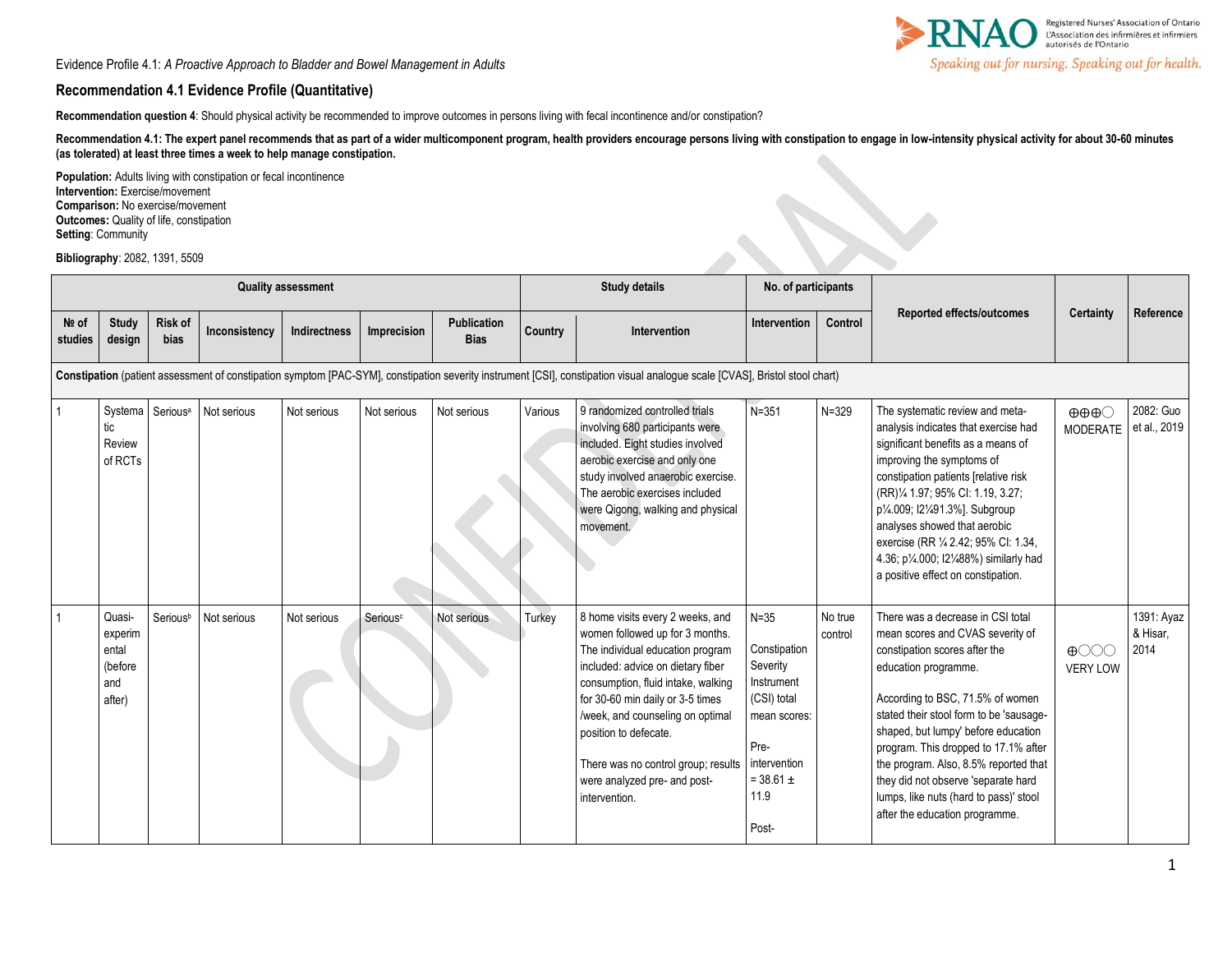Evidence Profile 4.1: *A Proactive Approach to Bladder and Bowel Management in Adults*

## **Recommendation 4.1 Evidence Profile (Quantitative)**

Recommendation question 4: Should physical activity be recommended to improve outcomes in persons living with fecal incontinence and/or constipation?

Recommendation 4.1: The expert panel recommends that as part of a wider multicomponent program, health providers encourage persons living with constipation to engage in low-intensity physical activity for about 30-60 minut **(as tolerated) at least three times a week to help manage constipation.** 

| Population: Adults living with constipation or fecal incontinence<br>Intervention: Exercise/movement<br><b>Comparison: No exercise/movement</b><br>Outcomes: Quality of life, constipation<br>Setting: Community<br>Bibliography: 2082, 1391, 5509 |                                                        |                        |               |                     |                      |                                   |                      |                                                                                                                                                                                                                                                                                                                                                                             |                                                                                                                                             |                    |                                                                                                                                                                                                                                                                                                                                                                                                                                                                       |                                                 |                                |
|----------------------------------------------------------------------------------------------------------------------------------------------------------------------------------------------------------------------------------------------------|--------------------------------------------------------|------------------------|---------------|---------------------|----------------------|-----------------------------------|----------------------|-----------------------------------------------------------------------------------------------------------------------------------------------------------------------------------------------------------------------------------------------------------------------------------------------------------------------------------------------------------------------------|---------------------------------------------------------------------------------------------------------------------------------------------|--------------------|-----------------------------------------------------------------------------------------------------------------------------------------------------------------------------------------------------------------------------------------------------------------------------------------------------------------------------------------------------------------------------------------------------------------------------------------------------------------------|-------------------------------------------------|--------------------------------|
| <b>Quality assessment</b>                                                                                                                                                                                                                          |                                                        |                        |               |                     |                      |                                   | <b>Study details</b> |                                                                                                                                                                                                                                                                                                                                                                             | No. of participants                                                                                                                         |                    |                                                                                                                                                                                                                                                                                                                                                                                                                                                                       |                                                 |                                |
| $Ne$ of<br>studies                                                                                                                                                                                                                                 | <b>Study</b><br>design                                 | <b>Risk of</b><br>bias | Inconsistency | <b>Indirectness</b> | Imprecision          | <b>Publication</b><br><b>Bias</b> | Country              | <b>Intervention</b>                                                                                                                                                                                                                                                                                                                                                         | Intervention                                                                                                                                | Control            | Reported effects/outcomes                                                                                                                                                                                                                                                                                                                                                                                                                                             | Certainty                                       | Reference                      |
| Constipation (patient assessment of constipation symptom [PAC-SYM], constipation severity instrument [CSI], constipation visual analogue scale [CVAS], Bristol stool chart)                                                                        |                                                        |                        |               |                     |                      |                                   |                      |                                                                                                                                                                                                                                                                                                                                                                             |                                                                                                                                             |                    |                                                                                                                                                                                                                                                                                                                                                                                                                                                                       |                                                 |                                |
|                                                                                                                                                                                                                                                    | Systema<br>tic<br>Review<br>of RCTs                    | Serious <sup>a</sup>   | Not serious   | Not serious         | Not serious          | Not serious                       | Various              | 9 randomized controlled trials<br>involving 680 participants were<br>included. Eight studies involved<br>aerobic exercise and only one<br>study involved anaerobic exercise.<br>The aerobic exercises included<br>were Qigong, walking and physical<br>movement.                                                                                                            | $N = 351$                                                                                                                                   | $N = 329$          | The systematic review and meta-<br>analysis indicates that exercise had<br>significant benefits as a means of<br>improving the symptoms of<br>constipation patients [relative risk<br>(RR)% 1.97; 95% Cl: 1.19, 3.27;<br>p <sup>1</sup> / <sub>4</sub> .009; I2 <sup>1</sup> / <sub>491.3</sub> %]. Subgroup<br>analyses showed that aerobic<br>exercise (RR 1/4 2.42; 95% CI: 1.34,<br>4.36; p1/4.000; I21/488%) similarly had<br>a positive effect on constipation. | $\oplus \oplus \oplus \odot$<br><b>MODERATE</b> | 2082: Guo<br>et al., 2019      |
|                                                                                                                                                                                                                                                    | Quasi-<br>experim<br>ental<br>(before<br>and<br>after) | Serious <sup>b</sup>   | Not serious   | Not serious         | Serious <sup>c</sup> | Not serious                       | Turkey               | 8 home visits every 2 weeks, and<br>women followed up for 3 months.<br>The individual education program<br>included: advice on dietary fiber<br>consumption, fluid intake, walking<br>for 30-60 min daily or 3-5 times<br>/week, and counseling on optimal<br>position to defecate.<br>There was no control group; results<br>were analyzed pre- and post-<br>intervention. | $N = 35$<br>Constipation<br>Severity<br>Instrument<br>(CSI) total<br>mean scores:<br>Pre-<br>intervention<br>$= 38.61 \pm$<br>11.9<br>Post- | No true<br>control | There was a decrease in CSI total<br>mean scores and CVAS severity of<br>constipation scores after the<br>education programme.<br>According to BSC, 71.5% of women<br>stated their stool form to be 'sausage-<br>shaped, but lumpy' before education<br>program. This dropped to 17.1% after<br>the program. Also, 8.5% reported that<br>they did not observe 'separate hard<br>lumps, like nuts (hard to pass)' stool<br>after the education programme.              | $\bigoplus$<br><b>VERY LOW</b>                  | 1391: Ayaz<br>& Hisar,<br>2014 |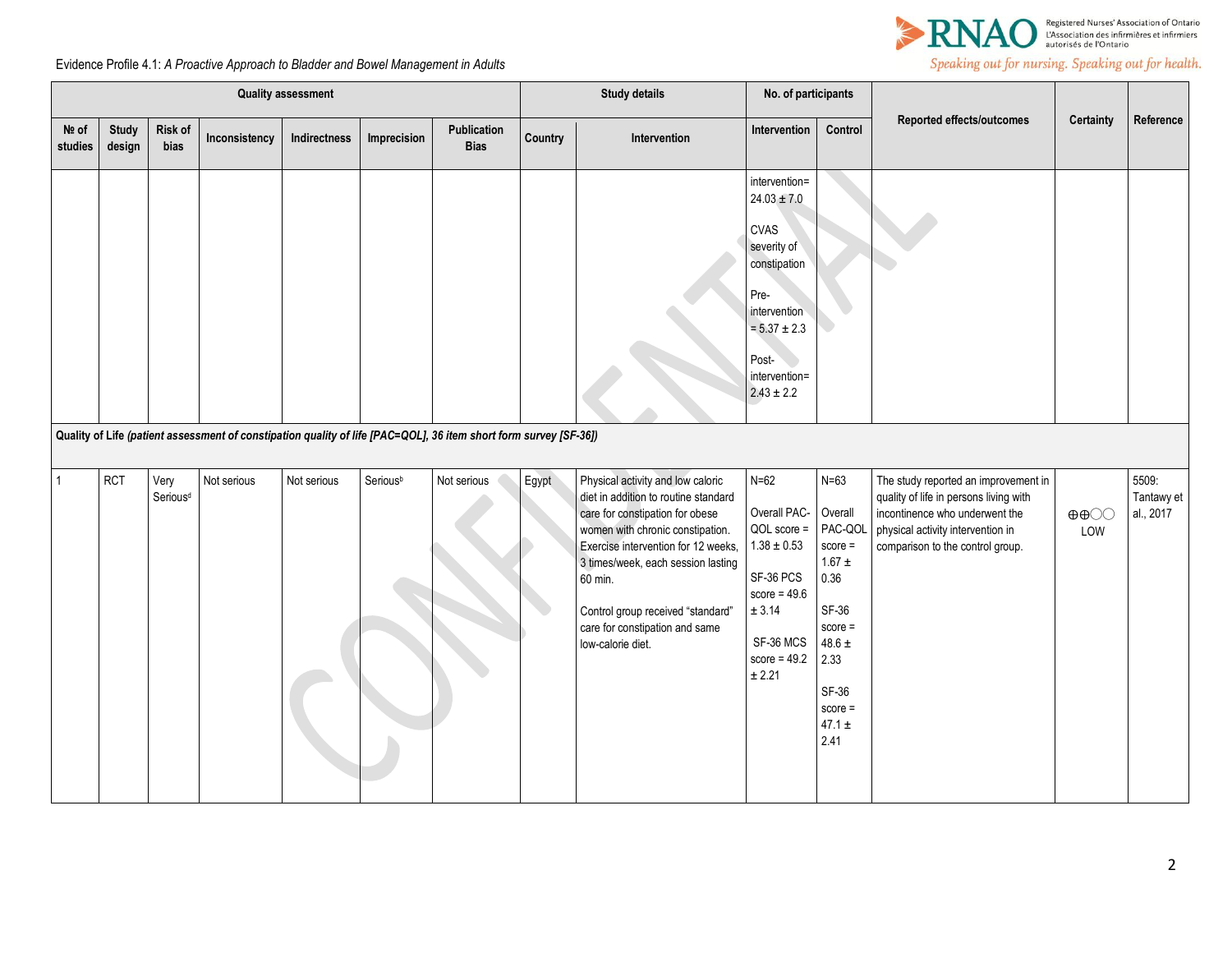

## Speaking out for nursing. Speaking out for health.

Evidence Profile 4.1: *A Proactive Approach to Bladder and Bowel Management in Adults*

| <b>Quality assessment</b> |                        |                              |               |              |             |                                                                                                                   | <b>Study details</b> |                                                                                                                                                                                                                                                                                                                                      | No. of participants                                                                                                                                                    |                                                                                                                                                         |                                                                                                                                                                                           |                                          |                                  |
|---------------------------|------------------------|------------------------------|---------------|--------------|-------------|-------------------------------------------------------------------------------------------------------------------|----------------------|--------------------------------------------------------------------------------------------------------------------------------------------------------------------------------------------------------------------------------------------------------------------------------------------------------------------------------------|------------------------------------------------------------------------------------------------------------------------------------------------------------------------|---------------------------------------------------------------------------------------------------------------------------------------------------------|-------------------------------------------------------------------------------------------------------------------------------------------------------------------------------------------|------------------------------------------|----------------------------------|
| Nº of<br>studies          | <b>Study</b><br>design | Risk of<br>bias              | Inconsistency | Indirectness | Imprecision | Publication<br><b>Bias</b>                                                                                        | Country              | Intervention                                                                                                                                                                                                                                                                                                                         | Intervention                                                                                                                                                           | Control                                                                                                                                                 | Reported effects/outcomes                                                                                                                                                                 | Certainty                                | Reference                        |
|                           |                        |                              |               |              |             | Quality of Life (patient assessment of constipation quality of life [PAC=QOL], 36 item short form survey [SF-36]) |                      |                                                                                                                                                                                                                                                                                                                                      | intervention=<br>$24.03 \pm 7.0$<br><b>CVAS</b><br>severity of<br>constipation<br>Pre-<br>intervention<br>$= 5.37 \pm 2.3$<br>Post-<br>intervention=<br>$2.43 \pm 2.2$ |                                                                                                                                                         |                                                                                                                                                                                           |                                          |                                  |
|                           | <b>RCT</b>             | Very<br>Serious <sup>d</sup> | Not serious   | Not serious  | Seriousb    | Not serious                                                                                                       | Egypt                | Physical activity and low caloric<br>diet in addition to routine standard<br>care for constipation for obese<br>women with chronic constipation.<br>Exercise intervention for 12 weeks,<br>3 times/week, each session lasting<br>60 min.<br>Control group received "standard"<br>care for constipation and same<br>low-calorie diet. | $N=62$<br>Overall PAC-<br>QOL score =<br>$1.38\pm0.53$<br>SF-36 PCS<br>score = $49.6$<br>$\pm$ 3.14<br>SF-36 MCS<br>score = $49.2$<br>$\pm$ 2.21                       | $N=63$<br>Overall<br>PAC-QOL<br>$score =$<br>$1.67 \pm$<br>0.36<br>SF-36<br>$score =$<br>$48.6 \pm$<br>2.33<br>SF-36<br>$score =$<br>47.1 $\pm$<br>2.41 | The study reported an improvement in<br>quality of life in persons living with<br>incontinence who underwent the<br>physical activity intervention in<br>comparison to the control group. | $\oplus \oplus \bigcirc \bigcirc$<br>LOW | 5509:<br>Tantawy et<br>al., 2017 |